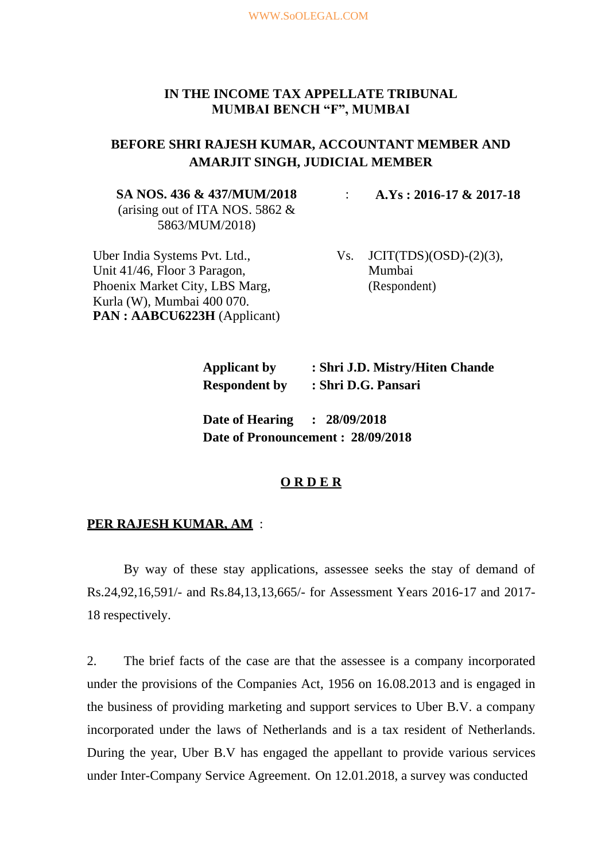## **IN THE INCOME TAX APPELLATE TRIBUNAL MUMBAI BENCH "F", MUMBAI**

# **BEFORE SHRI RAJESH KUMAR, ACCOUNTANT MEMBER AND AMARJIT SINGH, JUDICIAL MEMBER**

#### **SA NOS. 436 & 437/MUM/2018**

(arising out of ITA NOS. 5862 & 5863/MUM/2018)

Uber India Systems Pvt. Ltd., Unit 41/46, Floor 3 Paragon, Phoenix Market City, LBS Marg, Kurla (W), Mumbai 400 070. **PAN : AABCU6223H** (Applicant) : **A.Ys : 2016-17 & 2017-18**

Vs.  $JCIT(TDS)(OSD)-(2)(3)$ , Mumbai (Respondent)

**Applicant by : Shri J.D. Mistry/Hiten Chande Respondent by : Shri D.G. Pansari**

**Date of Hearing : 28/09/2018 Date of Pronouncement : 28/09/2018**

## **O R D E R**

#### **PER RAJESH KUMAR, AM** :

By way of these stay applications, assessee seeks the stay of demand of Rs.24,92,16,591/- and Rs.84,13,13,665/- for Assessment Years 2016-17 and 2017- 18 respectively.

2. The brief facts of the case are that the assessee is a company incorporated under the provisions of the Companies Act, 1956 on 16.08.2013 and is engaged in the business of providing marketing and support services to Uber B.V. a company incorporated under the laws of Netherlands and is a tax resident of Netherlands. During the year, Uber B.V has engaged the appellant to provide various services under Inter-Company Service Agreement. On 12.01.2018, a survey was conducted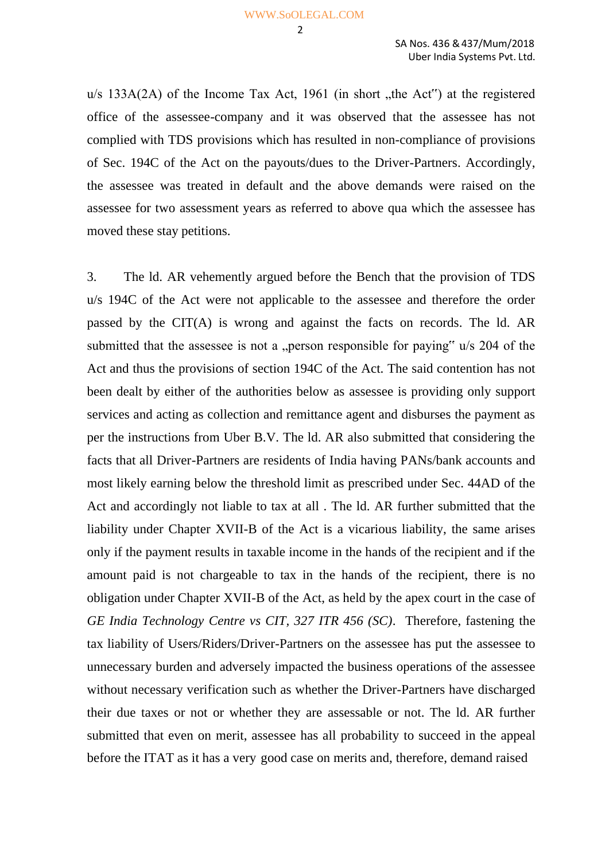$u/s$  133A(2A) of the Income Tax Act, 1961 (in short , the Act") at the registered office of the assessee-company and it was observed that the assessee has not complied with TDS provisions which has resulted in non-compliance of provisions of Sec. 194C of the Act on the payouts/dues to the Driver-Partners. Accordingly, the assessee was treated in default and the above demands were raised on the assessee for two assessment years as referred to above qua which the assessee has moved these stay petitions.

3. The ld. AR vehemently argued before the Bench that the provision of TDS u/s 194C of the Act were not applicable to the assessee and therefore the order passed by the CIT(A) is wrong and against the facts on records. The ld. AR submitted that the assessee is not a "person responsible for paying"  $u/s$  204 of the Act and thus the provisions of section 194C of the Act. The said contention has not been dealt by either of the authorities below as assessee is providing only support services and acting as collection and remittance agent and disburses the payment as per the instructions from Uber B.V. The ld. AR also submitted that considering the facts that all Driver-Partners are residents of India having PANs/bank accounts and most likely earning below the threshold limit as prescribed under Sec. 44AD of the Act and accordingly not liable to tax at all . The ld. AR further submitted that the liability under Chapter XVII-B of the Act is a vicarious liability, the same arises only if the payment results in taxable income in the hands of the recipient and if the amount paid is not chargeable to tax in the hands of the recipient, there is no obligation under Chapter XVII-B of the Act, as held by the apex court in the case of *GE India Technology Centre vs CIT, 327 ITR 456 (SC)*. Therefore, fastening the tax liability of Users/Riders/Driver-Partners on the assessee has put the assessee to unnecessary burden and adversely impacted the business operations of the assessee without necessary verification such as whether the Driver-Partners have discharged their due taxes or not or whether they are assessable or not. The ld. AR further submitted that even on merit, assessee has all probability to succeed in the appeal before the ITAT as it has a very good case on merits and, therefore, demand raised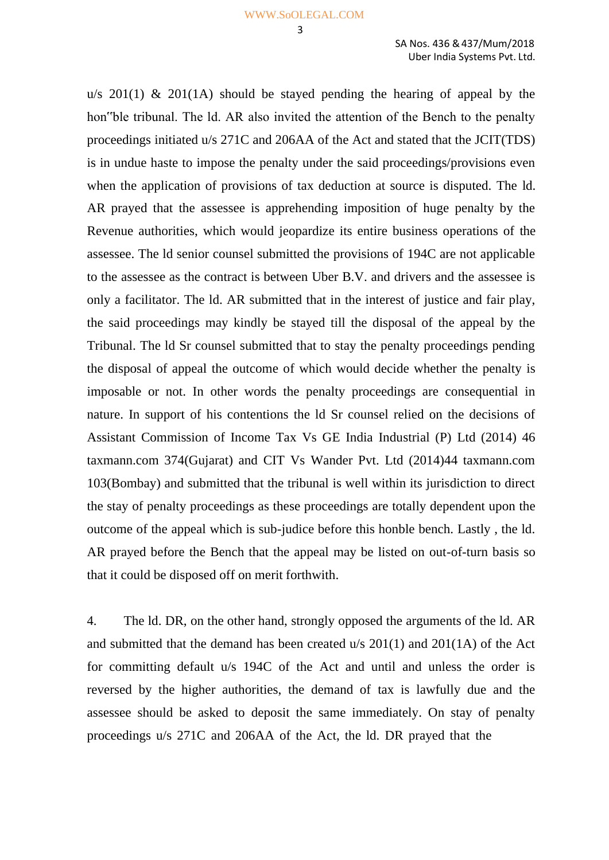3

u/s  $201(1)$  &  $201(1)$  should be stayed pending the hearing of appeal by the hon"ble tribunal. The ld. AR also invited the attention of the Bench to the penalty proceedings initiated u/s 271C and 206AA of the Act and stated that the JCIT(TDS) is in undue haste to impose the penalty under the said proceedings/provisions even when the application of provisions of tax deduction at source is disputed. The ld. AR prayed that the assessee is apprehending imposition of huge penalty by the Revenue authorities, which would jeopardize its entire business operations of the assessee. The ld senior counsel submitted the provisions of 194C are not applicable to the assessee as the contract is between Uber B.V. and drivers and the assessee is only a facilitator. The ld. AR submitted that in the interest of justice and fair play, the said proceedings may kindly be stayed till the disposal of the appeal by the Tribunal. The ld Sr counsel submitted that to stay the penalty proceedings pending the disposal of appeal the outcome of which would decide whether the penalty is imposable or not. In other words the penalty proceedings are consequential in nature. In support of his contentions the ld Sr counsel relied on the decisions of Assistant Commission of Income Tax Vs GE India Industrial (P) Ltd (2014) 46 taxmann.com 374(Gujarat) and CIT Vs Wander Pvt. Ltd (2014)44 taxmann.com 103(Bombay) and submitted that the tribunal is well within its jurisdiction to direct the stay of penalty proceedings as these proceedings are totally dependent upon the outcome of the appeal which is sub-judice before this honble bench. Lastly , the ld. AR prayed before the Bench that the appeal may be listed on out-of-turn basis so that it could be disposed off on merit forthwith.

4. The ld. DR, on the other hand, strongly opposed the arguments of the ld. AR and submitted that the demand has been created u/s 201(1) and 201(1A) of the Act for committing default u/s 194C of the Act and until and unless the order is reversed by the higher authorities, the demand of tax is lawfully due and the assessee should be asked to deposit the same immediately. On stay of penalty proceedings u/s 271C and 206AA of the Act, the ld. DR prayed that the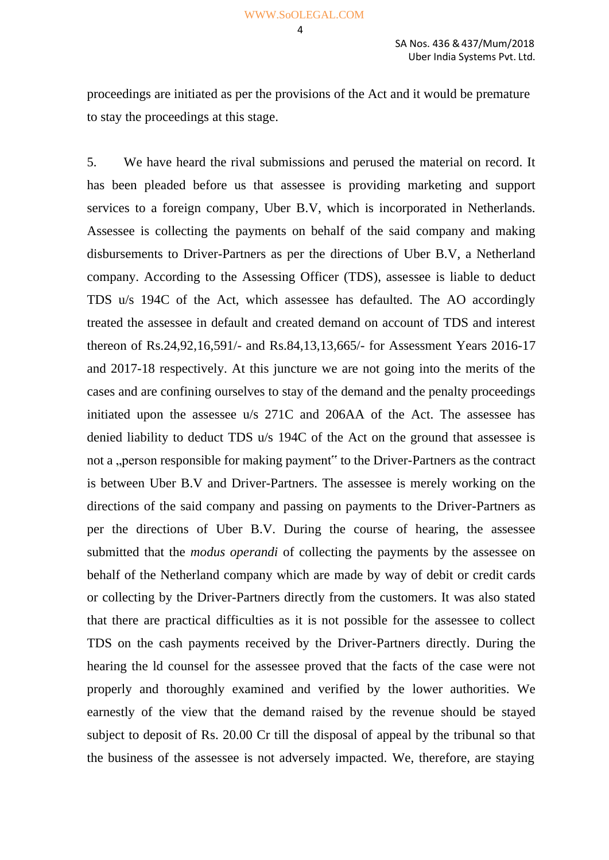$\overline{A}$ 

proceedings are initiated as per the provisions of the Act and it would be premature to stay the proceedings at this stage.

5. We have heard the rival submissions and perused the material on record. It has been pleaded before us that assessee is providing marketing and support services to a foreign company, Uber B.V, which is incorporated in Netherlands. Assessee is collecting the payments on behalf of the said company and making disbursements to Driver-Partners as per the directions of Uber B.V, a Netherland company. According to the Assessing Officer (TDS), assessee is liable to deduct TDS u/s 194C of the Act, which assessee has defaulted. The AO accordingly treated the assessee in default and created demand on account of TDS and interest thereon of Rs.24,92,16,591/- and Rs.84,13,13,665/- for Assessment Years 2016-17 and 2017-18 respectively. At this juncture we are not going into the merits of the cases and are confining ourselves to stay of the demand and the penalty proceedings initiated upon the assessee u/s 271C and 206AA of the Act. The assessee has denied liability to deduct TDS u/s 194C of the Act on the ground that assessee is not a "person responsible for making payment" to the Driver-Partners as the contract is between Uber B.V and Driver-Partners. The assessee is merely working on the directions of the said company and passing on payments to the Driver-Partners as per the directions of Uber B.V. During the course of hearing, the assessee submitted that the *modus operandi* of collecting the payments by the assessee on behalf of the Netherland company which are made by way of debit or credit cards or collecting by the Driver-Partners directly from the customers. It was also stated that there are practical difficulties as it is not possible for the assessee to collect TDS on the cash payments received by the Driver-Partners directly. During the hearing the ld counsel for the assessee proved that the facts of the case were not properly and thoroughly examined and verified by the lower authorities. We earnestly of the view that the demand raised by the revenue should be stayed subject to deposit of Rs. 20.00 Cr till the disposal of appeal by the tribunal so that the business of the assessee is not adversely impacted. We, therefore, are staying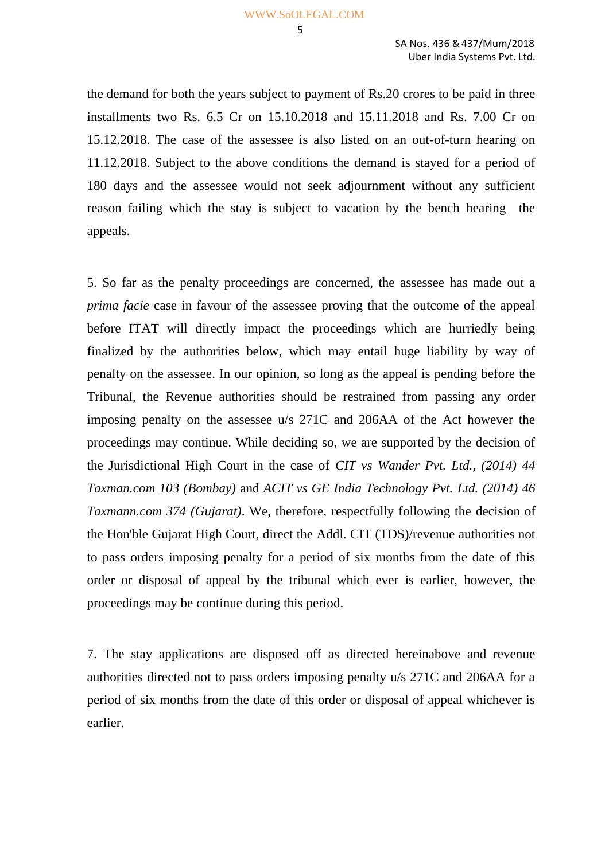5

the demand for both the years subject to payment of Rs.20 crores to be paid in three installments two Rs. 6.5 Cr on 15.10.2018 and 15.11.2018 and Rs. 7.00 Cr on 15.12.2018. The case of the assessee is also listed on an out-of-turn hearing on 11.12.2018. Subject to the above conditions the demand is stayed for a period of 180 days and the assessee would not seek adjournment without any sufficient reason failing which the stay is subject to vacation by the bench hearing the appeals.

5. So far as the penalty proceedings are concerned, the assessee has made out a *prima facie* case in favour of the assessee proving that the outcome of the appeal before ITAT will directly impact the proceedings which are hurriedly being finalized by the authorities below, which may entail huge liability by way of penalty on the assessee. In our opinion, so long as the appeal is pending before the Tribunal, the Revenue authorities should be restrained from passing any order imposing penalty on the assessee u/s 271C and 206AA of the Act however the proceedings may continue. While deciding so, we are supported by the decision of the Jurisdictional High Court in the case of *CIT vs Wander Pvt. Ltd., (2014) 44 Taxman.com 103 (Bombay)* and *ACIT vs GE India Technology Pvt. Ltd. (2014) 46 Taxmann.com 374 (Gujarat)*. We, therefore, respectfully following the decision of the Hon'ble Gujarat High Court, direct the Addl. CIT (TDS)/revenue authorities not to pass orders imposing penalty for a period of six months from the date of this order or disposal of appeal by the tribunal which ever is earlier, however, the proceedings may be continue during this period.

7. The stay applications are disposed off as directed hereinabove and revenue authorities directed not to pass orders imposing penalty u/s 271C and 206AA for a period of six months from the date of this order or disposal of appeal whichever is earlier.